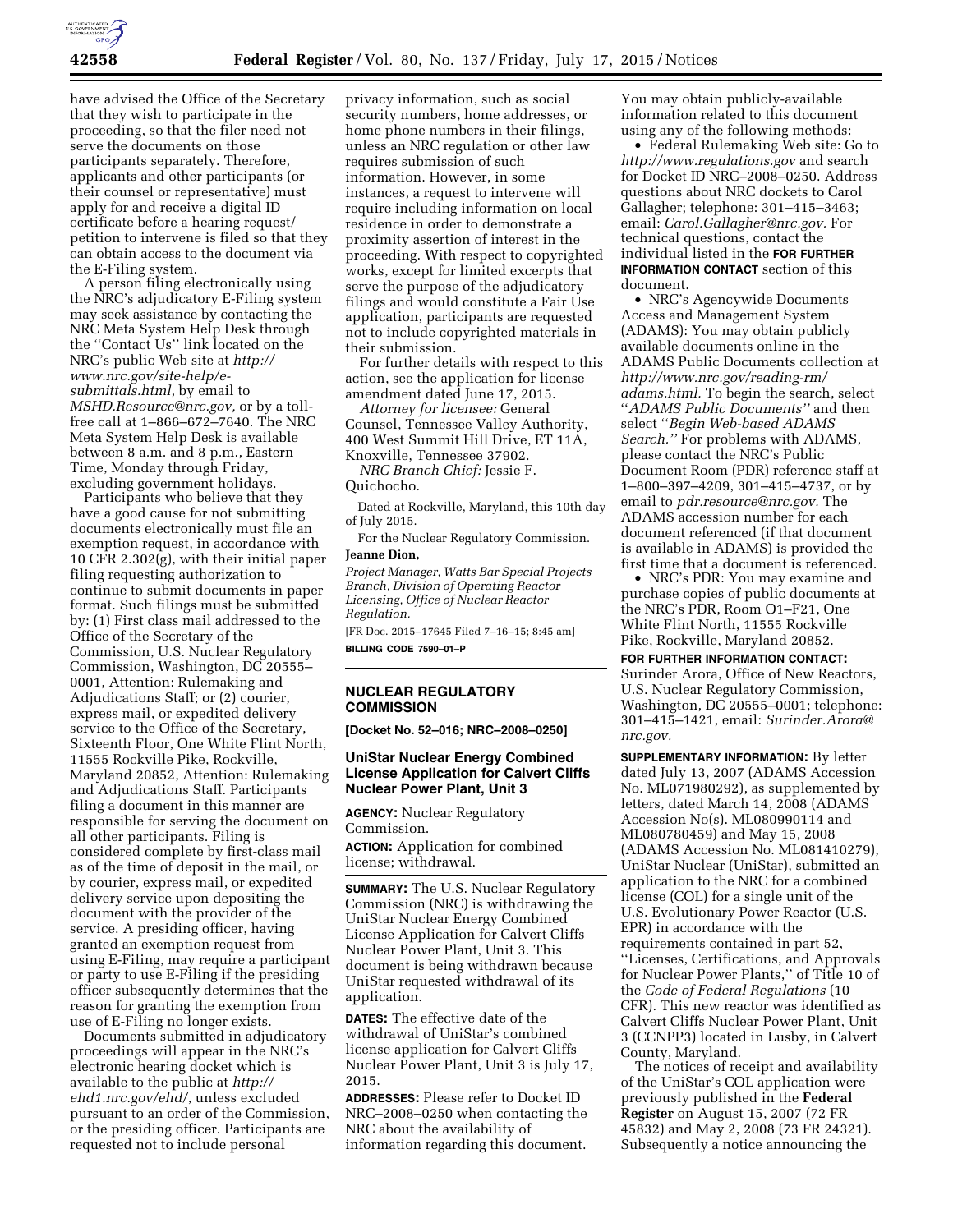

have advised the Office of the Secretary that they wish to participate in the proceeding, so that the filer need not serve the documents on those participants separately. Therefore, applicants and other participants (or their counsel or representative) must apply for and receive a digital ID certificate before a hearing request/ petition to intervene is filed so that they can obtain access to the document via the E-Filing system.

A person filing electronically using the NRC's adjudicatory E-Filing system may seek assistance by contacting the NRC Meta System Help Desk through the ''Contact Us'' link located on the NRC's public Web site at *[http://](http://www.nrc.gov/site-help/e-submittals.html) [www.nrc.gov/site-help/e](http://www.nrc.gov/site-help/e-submittals.html)[submittals.html](http://www.nrc.gov/site-help/e-submittals.html)*, by email to *[MSHD.Resource@nrc.gov,](mailto:MSHD.Resource@nrc.gov)* or by a tollfree call at 1–866–672–7640. The NRC Meta System Help Desk is available between 8 a.m. and 8 p.m., Eastern Time, Monday through Friday, excluding government holidays.

Participants who believe that they have a good cause for not submitting documents electronically must file an exemption request, in accordance with 10 CFR 2.302(g), with their initial paper filing requesting authorization to continue to submit documents in paper format. Such filings must be submitted by: (1) First class mail addressed to the Office of the Secretary of the Commission, U.S. Nuclear Regulatory Commission, Washington, DC 20555– 0001, Attention: Rulemaking and Adjudications Staff; or (2) courier, express mail, or expedited delivery service to the Office of the Secretary, Sixteenth Floor, One White Flint North, 11555 Rockville Pike, Rockville, Maryland 20852, Attention: Rulemaking and Adjudications Staff. Participants filing a document in this manner are responsible for serving the document on all other participants. Filing is considered complete by first-class mail as of the time of deposit in the mail, or by courier, express mail, or expedited delivery service upon depositing the document with the provider of the service. A presiding officer, having granted an exemption request from using E-Filing, may require a participant or party to use E-Filing if the presiding officer subsequently determines that the reason for granting the exemption from use of E-Filing no longer exists.

Documents submitted in adjudicatory proceedings will appear in the NRC's electronic hearing docket which is available to the public at *[http://](http://ehd1.nrc.gov/ehd/) [ehd1.nrc.gov/ehd/](http://ehd1.nrc.gov/ehd/)*, unless excluded pursuant to an order of the Commission, or the presiding officer. Participants are requested not to include personal

privacy information, such as social security numbers, home addresses, or home phone numbers in their filings, unless an NRC regulation or other law requires submission of such information. However, in some instances, a request to intervene will require including information on local residence in order to demonstrate a proximity assertion of interest in the proceeding. With respect to copyrighted works, except for limited excerpts that serve the purpose of the adjudicatory filings and would constitute a Fair Use application, participants are requested not to include copyrighted materials in their submission.

For further details with respect to this action, see the application for license amendment dated June 17, 2015.

*Attorney for licensee:* General Counsel, Tennessee Valley Authority, 400 West Summit Hill Drive, ET 11A, Knoxville, Tennessee 37902.

*NRC Branch Chief:* Jessie F. Quichocho.

Dated at Rockville, Maryland, this 10th day of July 2015.

For the Nuclear Regulatory Commission. **Jeanne Dion,** 

*Project Manager, Watts Bar Special Projects Branch, Division of Operating Reactor Licensing, Office of Nuclear Reactor Regulation.* 

[FR Doc. 2015–17645 Filed 7–16–15; 8:45 am] **BILLING CODE 7590–01–P** 

# **NUCLEAR REGULATORY COMMISSION**

**[Docket No. 52–016; NRC–2008–0250]** 

## **UniStar Nuclear Energy Combined License Application for Calvert Cliffs Nuclear Power Plant, Unit 3**

**AGENCY:** Nuclear Regulatory Commission.

**ACTION:** Application for combined license; withdrawal.

**SUMMARY:** The U.S. Nuclear Regulatory Commission (NRC) is withdrawing the UniStar Nuclear Energy Combined License Application for Calvert Cliffs Nuclear Power Plant, Unit 3. This document is being withdrawn because UniStar requested withdrawal of its application.

**DATES:** The effective date of the withdrawal of UniStar's combined license application for Calvert Cliffs Nuclear Power Plant, Unit 3 is July 17, 2015.

**ADDRESSES:** Please refer to Docket ID NRC–2008–0250 when contacting the NRC about the availability of information regarding this document.

You may obtain publicly-available information related to this document using any of the following methods:

• Federal Rulemaking Web site: Go to *<http://www.regulations.gov>* and search for Docket ID NRC–2008–0250. Address questions about NRC dockets to Carol Gallagher; telephone: 301–415–3463; email: *[Carol.Gallagher@nrc.gov.](mailto:Carol.Gallagher@nrc.gov)* For technical questions, contact the individual listed in the **FOR FURTHER INFORMATION CONTACT** section of this document.

• NRC's Agencywide Documents Access and Management System (ADAMS): You may obtain publicly available documents online in the ADAMS Public Documents collection at *[http://www.nrc.gov/reading-rm/](http://www.nrc.gov/reading-rm/adams.html) [adams.html.](http://www.nrc.gov/reading-rm/adams.html)* To begin the search, select ''*ADAMS Public Documents''* and then select ''*Begin Web-based ADAMS Search.''* For problems with ADAMS, please contact the NRC's Public Document Room (PDR) reference staff at 1–800–397–4209, 301–415–4737, or by email to *[pdr.resource@nrc.gov.](mailto:pdr.resource@nrc.gov)* The ADAMS accession number for each document referenced (if that document is available in ADAMS) is provided the first time that a document is referenced.

• NRC's PDR: You may examine and purchase copies of public documents at the NRC's PDR, Room O1–F21, One White Flint North, 11555 Rockville Pike, Rockville, Maryland 20852.

## **FOR FURTHER INFORMATION CONTACT:**

Surinder Arora, Office of New Reactors, U.S. Nuclear Regulatory Commission, Washington, DC 20555–0001; telephone: 301–415–1421, email: *[Surinder.Arora@](mailto:Surinder.Arora@nrc.gov) [nrc.gov.](mailto:Surinder.Arora@nrc.gov)* 

**SUPPLEMENTARY INFORMATION:** By letter dated July 13, 2007 (ADAMS Accession No. ML071980292), as supplemented by letters, dated March 14, 2008 (ADAMS Accession No(s). ML080990114 and ML080780459) and May 15, 2008 (ADAMS Accession No. ML081410279), UniStar Nuclear (UniStar), submitted an application to the NRC for a combined license (COL) for a single unit of the U.S. Evolutionary Power Reactor (U.S. EPR) in accordance with the requirements contained in part 52, ''Licenses, Certifications, and Approvals for Nuclear Power Plants,'' of Title 10 of the *Code of Federal Regulations* (10 CFR). This new reactor was identified as Calvert Cliffs Nuclear Power Plant, Unit 3 (CCNPP3) located in Lusby, in Calvert County, Maryland.

The notices of receipt and availability of the UniStar's COL application were previously published in the **Federal Register** on August 15, 2007 (72 FR 45832) and May 2, 2008 (73 FR 24321). Subsequently a notice announcing the